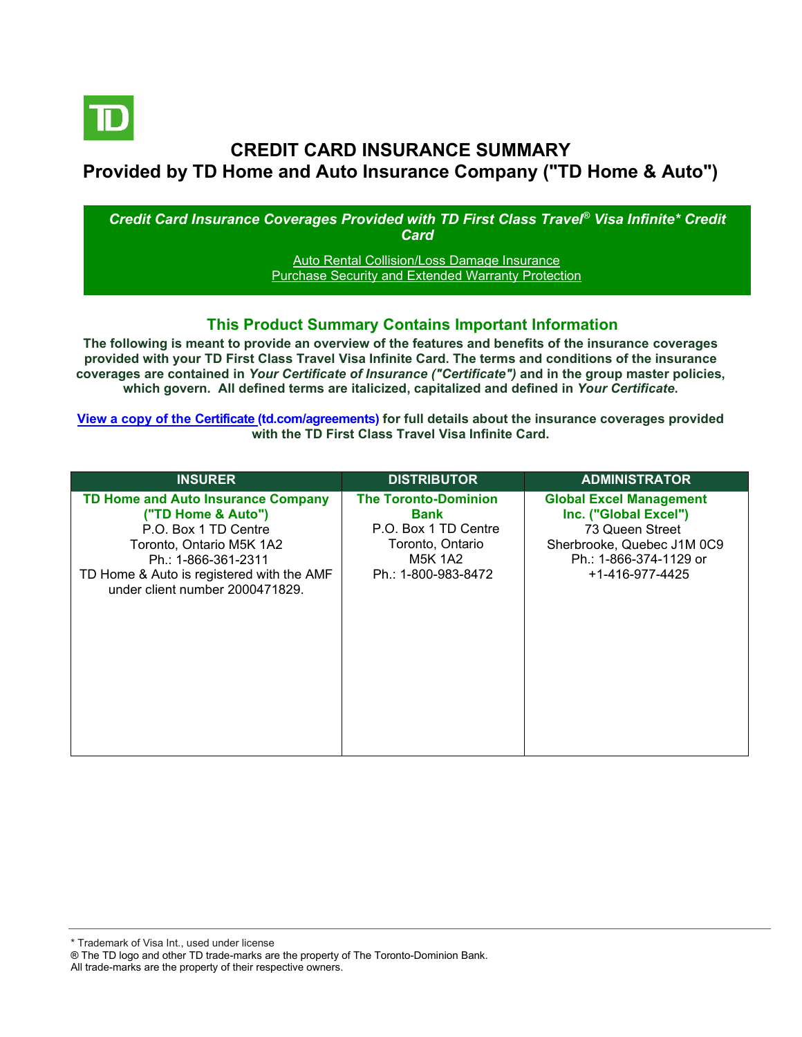

# **CREDIT CARD INSURANCE SUMMARY Provided by TD Home and Auto Insurance Company ("TD Home & Auto")**

#### *Credit Card Insurance Coverages Provided with TD First Class Travel® Visa Infinite\* Credit Card*

**[Auto Rental Collision/Loss Damage Insurance](#page-3-0)** [Purchase Security and Extended Warranty Protection](#page-3-1)

### **This Product Summary Contains Important Information**

**The following is meant to provide an overview of the features and benefits of the insurance coverages provided with your TD First Class Travel Visa Infinite Card. The terms and conditions of the insurance coverages are contained in** *Your Certificate of Insurance ("Certificate")* **and in the group master policies, which govern. All defined terms are italicized, capitalized and defined in** *Your Certificate***.**

**[View a copy of the Certificate](https://www.td.com/ca/en/personal-banking/how-to/manage-my-credit-card/getting-started/?tdtab=4) (td.com/agreements) for full details about the insurance coverages provided with the TD First Class Travel Visa Infinite Card.**

| <b>INSURER</b>                                                                                                                                                                                                             | <b>DISTRIBUTOR</b>                                                                                                       | <b>ADMINISTRATOR</b>                                                                                                                                  |
|----------------------------------------------------------------------------------------------------------------------------------------------------------------------------------------------------------------------------|--------------------------------------------------------------------------------------------------------------------------|-------------------------------------------------------------------------------------------------------------------------------------------------------|
| <b>TD Home and Auto Insurance Company</b><br>("TD Home & Auto")<br>P.O. Box 1 TD Centre<br>Toronto, Ontario M5K 1A2<br>Ph.: 1-866-361-2311<br>TD Home & Auto is registered with the AMF<br>under client number 2000471829. | <b>The Toronto-Dominion</b><br>Bank<br>P.O. Box 1 TD Centre<br>Toronto, Ontario<br><b>M5K 1A2</b><br>Ph.: 1-800-983-8472 | <b>Global Excel Management</b><br>Inc. ("Global Excel")<br>73 Queen Street<br>Sherbrooke, Quebec J1M 0C9<br>Ph.: 1-866-374-1129 or<br>+1-416-977-4425 |

All trade-marks are the property of their respective owners.

<sup>\*</sup> Trademark of Visa Int., used under license

<sup>®</sup> The TD logo and other TD trade-marks are the property of The Toronto-Dominion Bank.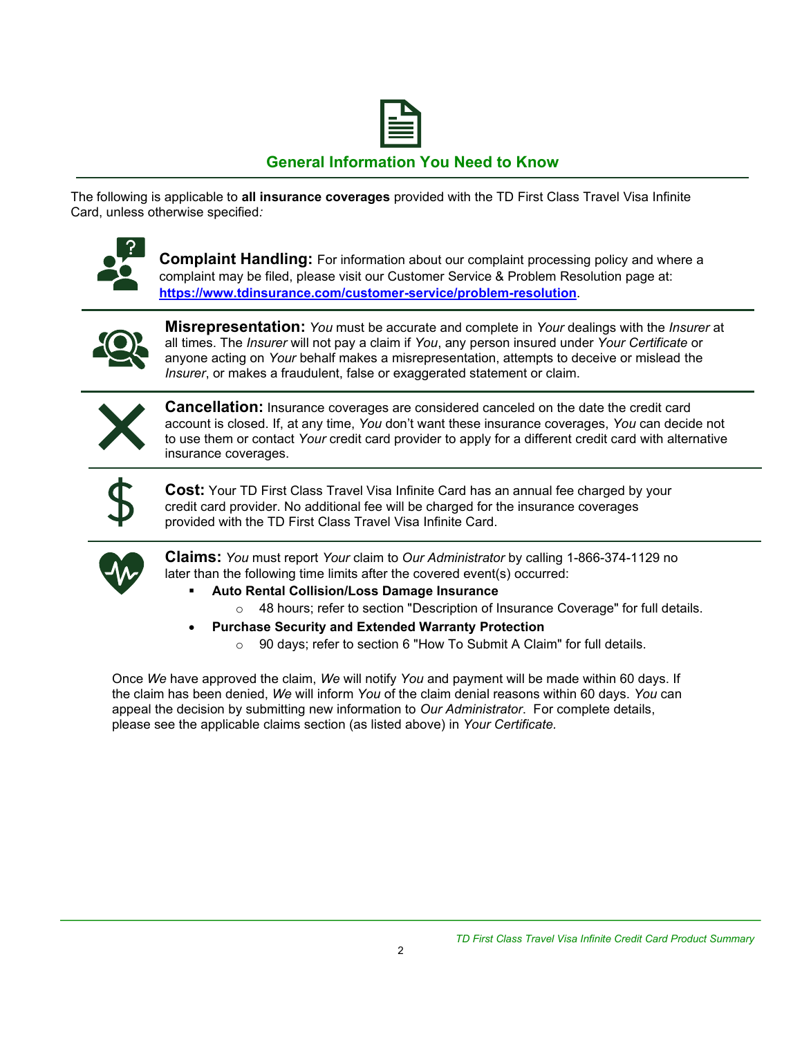

## **General Information You Need to Know**

The following is applicable to **all insurance coverages** provided with the TD First Class Travel Visa Infinite Card, unless otherwise specified*:*



**Complaint Handling:** For information about our complaint processing policy and where a complaint may be filed, please visit our Customer Service & Problem Resolution page at: **<https://www.tdinsurance.com/customer-service/problem-resolution>**.



**Misrepresentation:** *You* must be accurate and complete in *Your* dealings with the *Insurer* at all times. The *Insurer* will not pay a claim if *You*, any person insured under *Your Certificate* or anyone acting on *Your* behalf makes a misrepresentation, attempts to deceive or mislead the *Insurer*, or makes a fraudulent, false or exaggerated statement or claim.



**Cancellation:** Insurance coverages are considered canceled on the date the credit card account is closed. If, at any time, *You* don't want these insurance coverages, *You* can decide not to use them or contact *Your* credit card provider to apply for a different credit card with alternative insurance coverages.



**Cost:** Your TD First Class Travel Visa Infinite Card has an annual fee charged by your credit card provider. No additional fee will be charged for the insurance coverages provided with the TD First Class Travel Visa Infinite Card.



**Claims:** *You* must report *Your* claim to *Our Administrator* by calling 1-866-374-1129 no later than the following time limits after the covered event(s) occurred:

- **Auto Rental Collision/Loss Damage Insurance** 
	- $\circ$  48 hours; refer to section "Description of Insurance Coverage" for full details.
- **Purchase Security and Extended Warranty Protection**
	- o 90 days; refer to section 6 "How To Submit A Claim" for full details.

Once *We* have approved the claim, *We* will notify *You* and payment will be made within 60 days. If the claim has been denied, *We* will inform *You* of the claim denial reasons within 60 days. *You* can appeal the decision by submitting new information to *Our Administrator*. For complete details, please see the applicable claims section (as listed above) in *Your Certificate.*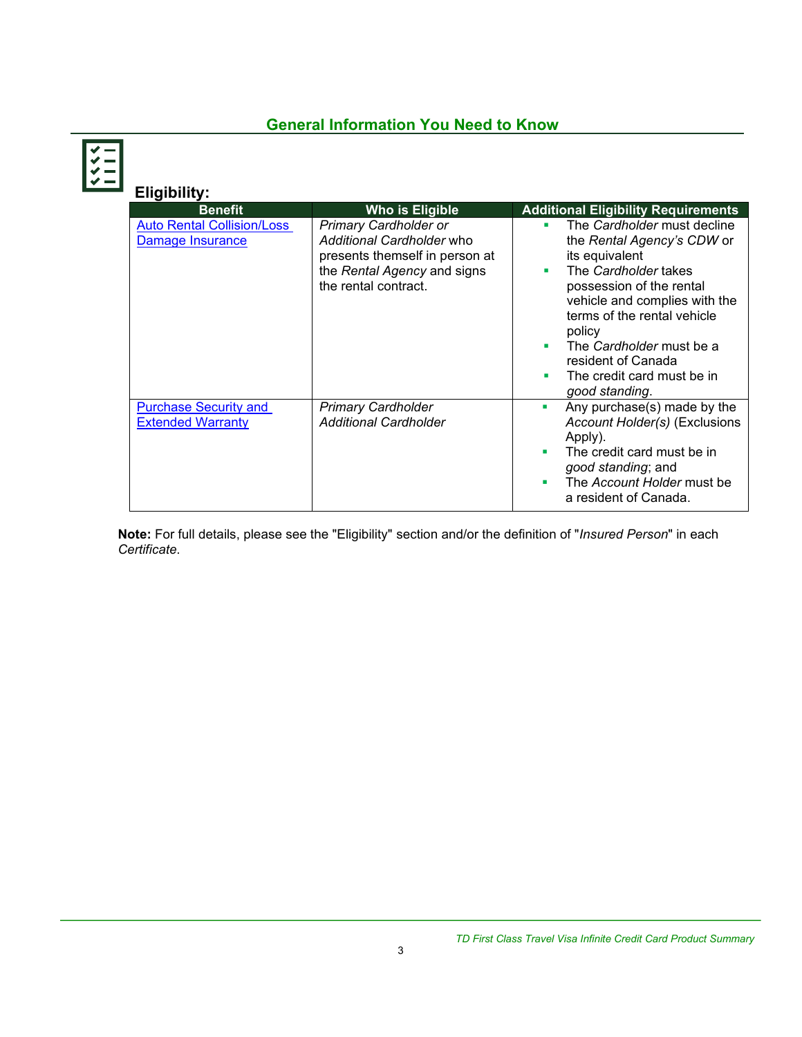## **General Information You Need to Know**

| <b>Eligibility:</b>                                      |                                                                                                                                                    |                                                                                                                                                                                                                                                                                                                       |
|----------------------------------------------------------|----------------------------------------------------------------------------------------------------------------------------------------------------|-----------------------------------------------------------------------------------------------------------------------------------------------------------------------------------------------------------------------------------------------------------------------------------------------------------------------|
| <b>Benefit</b>                                           | Who is Eligible                                                                                                                                    | <b>Additional Eligibility Requirements</b>                                                                                                                                                                                                                                                                            |
| <b>Auto Rental Collision/Loss</b><br>Damage Insurance    | <b>Primary Cardholder or</b><br>Additional Cardholder who<br>presents themself in person at<br>the Rental Agency and signs<br>the rental contract. | The Cardholder must decline<br>٠<br>the Rental Agency's CDW or<br>its equivalent<br>The Cardholder takes<br>٠<br>possession of the rental<br>vehicle and complies with the<br>terms of the rental vehicle<br>policy<br>The Cardholder must be a<br>resident of Canada<br>The credit card must be in<br>good standing. |
| <b>Purchase Security and</b><br><b>Extended Warranty</b> | <b>Primary Cardholder</b><br><b>Additional Cardholder</b>                                                                                          | Any purchase(s) made by the<br>п<br>Account Holder(s) (Exclusions<br>Apply).<br>The credit card must be in<br>٠<br>good standing; and<br>The Account Holder must be<br>a resident of Canada.                                                                                                                          |

**Note:** For full details, please see the "Eligibility" section and/or the definition of "*Insured Person*" in each *Certificate*.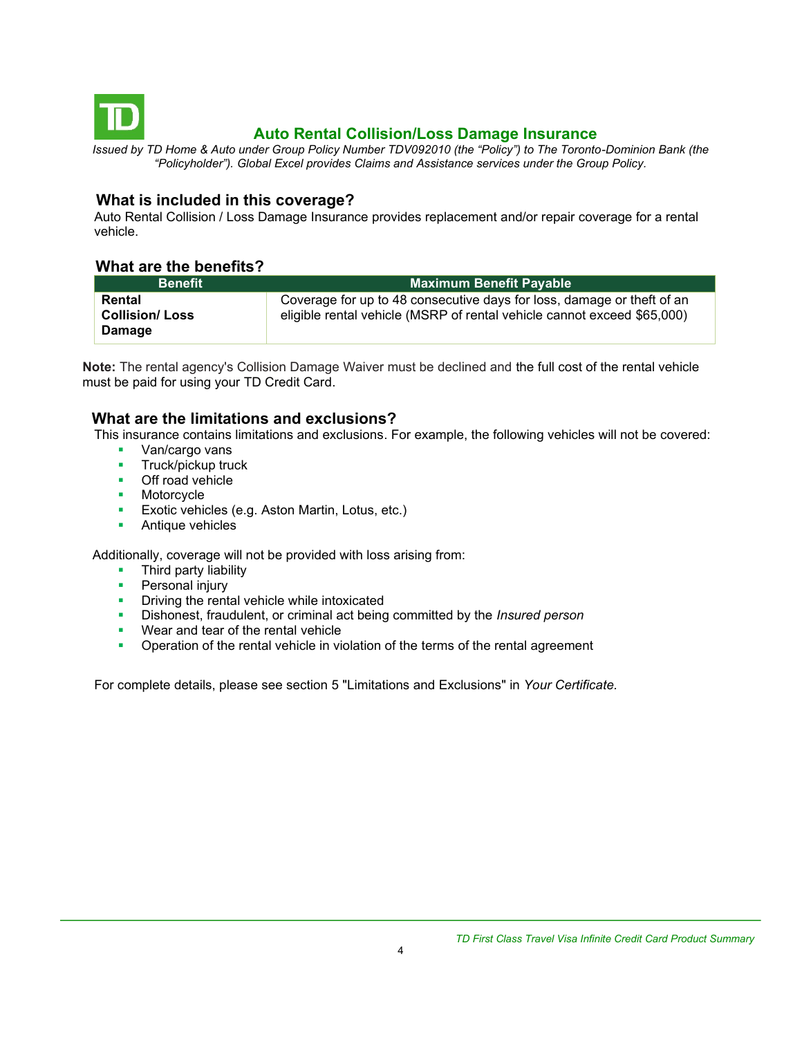<span id="page-3-0"></span>

## **Auto Rental Collision/Loss Damage Insurance**

*Issued by TD Home & Auto under Group Policy Number TDV092010 (the "Policy") to The Toronto-Dominion Bank (the "Policyholder"). Global Excel provides Claims and Assistance services under the Group Policy.*

#### **What is included in this coverage?**

Auto Rental Collision / Loss Damage Insurance provides replacement and/or repair coverage for a rental vehicle.

#### **What are the benefits?**

| <b>Benefit</b>                                   | <b>Maximum Benefit Payable</b>                                                                                                                    |
|--------------------------------------------------|---------------------------------------------------------------------------------------------------------------------------------------------------|
| Rental<br><b>Collision/Loss</b><br><b>Damage</b> | Coverage for up to 48 consecutive days for loss, damage or theft of an<br>eligible rental vehicle (MSRP of rental vehicle cannot exceed \$65,000) |

**Note:** The rental agency's Collision Damage Waiver must be declined and the full cost of the rental vehicle must be paid for using your TD Credit Card.

### **What are the limitations and exclusions?**

This insurance contains limitations and exclusions. For example, the following vehicles will not be covered:

- Van/cargo vans
- **■** Truck/pickup truck
- Off road vehicle
- Motorcycle
- **Exotic vehicles (e.g. Aston Martin, Lotus, etc.)**
- Antique vehicles

Additionally, coverage will not be provided with loss arising from:

- Third party liability
- **•** Personal injury
- **•** Driving the rental vehicle while intoxicated
- Dishonest, fraudulent, or criminal act being committed by the *Insured person*
- Wear and tear of the rental vehicle
- **•** Operation of the rental vehicle in violation of the terms of the rental agreement

<span id="page-3-1"></span>For complete details, please see section 5 "Limitations and Exclusions" in *Your Certificate.*